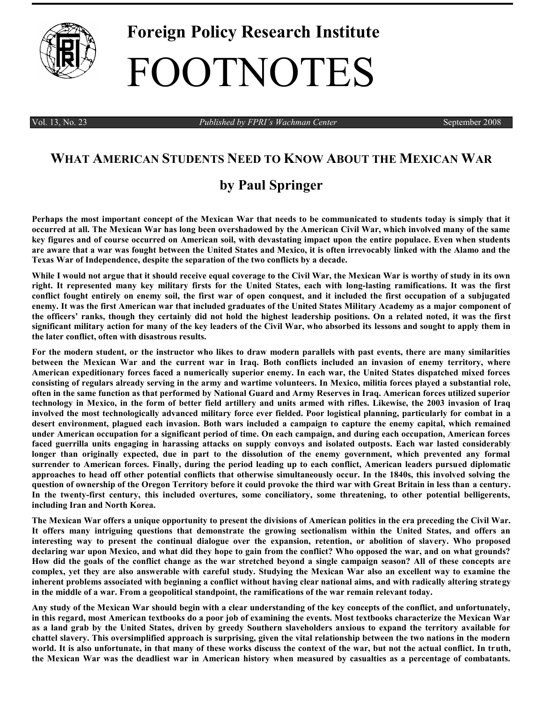

## **Foreign Policy Research Institute** FOOTNOTES

Vol. 13, No. 23 *Published by FPRI's Wachman Center* September 2008

## **WHAT AMERICAN STUDENTS NEED TO KNOW ABOUT THE MEXICAN WAR**

## **by Paul Springer**

**Perhaps the most important concept of the Mexican War that needs to be communicated to students today is simply that it occurred at all. The Mexican War has long been overshadowed by the American Civil War, which involved many of the same key figures and of course occurred on American soil, with devastating impact upon the entire populace. Even when students are aware that a war was fought between the United States and Mexico, it is often irrevocably linked with the Alamo and the Texas War of Independence, despite the separation of the two conflicts by a decade.** 

**While I would not argue that it should receive equal coverage to the Civil War, the Mexican War is worthy of study in its own right. It represented many key military firsts for the United States, each with long-lasting ramifications. It was the first conflict fought entirely on enemy soil, the first war of open conquest, and it included the first occupation of a subjugated enemy. It was the first American war that included graduates of the United States Military Academy as a major component of the officers' ranks, though they certainly did not hold the highest leadership positions. On a related noted, it was the first significant military action for many of the key leaders of the Civil War, who absorbed its lessons and sought to apply them in the later conflict, often with disastrous results.**

**For the modern student, or the instructor who likes to draw modern parallels with past events, there are many similarities between the Mexican War and the current war in Iraq. Both conflicts included an invasion of enemy territory, where American expeditionary forces faced a numerically superior enemy. In each war, the United States dispatched mixed forces consisting of regulars already serving in the army and wartime volunteers. In Mexico, militia forces played a substantial role, often in the same function as that performed by National Guard and Army Reserves in Iraq. American forces utilized superior technology in Mexico, in the form of better field artillery and units armed with rifles. Likewise, the 2003 invasion of Iraq involved the most technologically advanced military force ever fielded. Poor logistical planning, particularly for combat in a desert environment, plagued each invasion. Both wars included a campaign to capture the enemy capital, which remained under American occupation for a significant period of time. On each campaign, and during each occupation, American forces faced guerrilla units engaging in harassing attacks on supply convoys and isolated outposts. Each war lasted considerably longer than originally expected, due in part to the dissolution of the enemy government, which prevented any formal surrender to American forces. Finally, during the period leading up to each conflict, American leaders pursued diplomatic approaches to head off other potential conflicts that otherwise simultaneously occur. In the 1840s, this involved solving the question of ownership of the Oregon Territory before it could provoke the third war with Great Britain in less than a century. In the twenty-first century, this included overtures, some conciliatory, some threatening, to other potential belligerents, including Iran and North Korea.**

**The Mexican War offers a unique opportunity to present the divisions of American politics in the era preceding the Civil War. It offers many intriguing questions that demonstrate the growing sectionalism within the United States, and offers an interesting way to present the continual dialogue over the expansion, retention, or abolition of slavery. Who proposed declaring war upon Mexico, and what did they hope to gain from the conflict? Who opposed the war, and on what grounds? How did the goals of the conflict change as the war stretched beyond a single campaign season? All of these concepts are complex, yet they are also answerable with careful study. Studying the Mexican War also an excellent way to examine the inherent problems associated with beginning a conflict without having clear national aims, and with radically altering strategy in the middle of a war. From a geopolitical standpoint, the ramifications of the war remain relevant today.**

**Any study of the Mexican War should begin with a clear understanding of the key concepts of the conflict, and unfortunately, in this regard, most American textbooks do a poor job of examining the events. Most textbooks characterize the Mexican War as a land grab by the United States, driven by greedy Southern slaveholders anxious to expand the territory available for chattel slavery. This oversimplified approach is surprising, given the vital relationship between the two nations in the modern world. It is also unfortunate, in that many of these works discuss the context of the war, but not the actual conflict. In truth, the Mexican War was the deadliest war in American history when measured by casualties as a percentage of combatants.**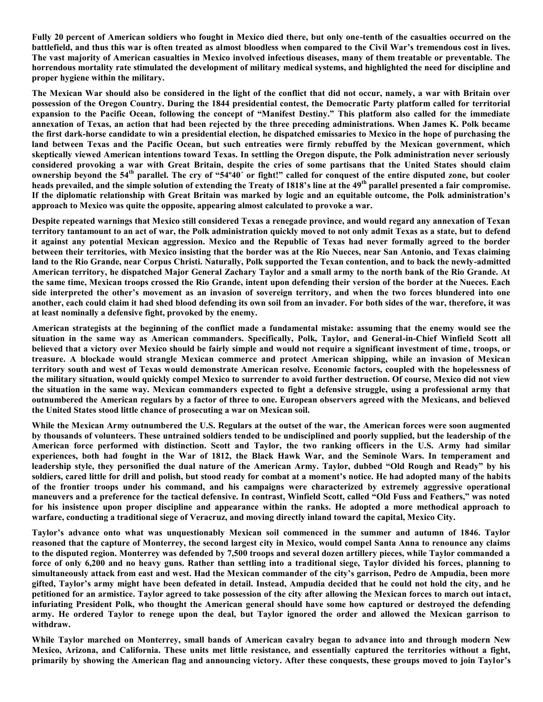**Fully 20 percent of American soldiers who fought in Mexico died there, but only one-tenth of the casualties occurred on the battlefield, and thus this war is often treated as almost bloodless when compared to the Civil War's tremendous cost in lives. The vast majority of American casualties in Mexico involved infectious diseases, many of them treatable or preventable. The horrendous mortality rate stimulated the development of military medical systems, and highlighted the need for discipline and proper hygiene within the military.**

**The Mexican War should also be considered in the light of the conflict that did not occur, namely, a war with Britain over possession of the Oregon Country. During the 1844 presidential contest, the Democratic Party platform called for territorial expansion to the Pacific Ocean, following the concept of "Manifest Destiny." This platform also called for the immediate annexation of Texas, an action that had been rejected by the three preceding administrations. When James K. Polk became the first dark-horse candidate to win a presidential election, he dispatched emissaries to Mexico in the hope of purchasing the land between Texas and the Pacific Ocean, but such entreaties were firmly rebuffed by the Mexican government, which skeptically viewed American intentions toward Texas. In settling the Oregon dispute, the Polk administration never seriously considered provoking a war with Great Britain, despite the cries of some partisans that the United States should claim ownership beyond the 54th parallel. The cry of "54º40´ or fight!" called for conquest of the entire disputed zone, but cooler heads prevailed, and the simple solution of extending the Treaty of 1818's line at the 49th parallel presented a fair compromise. If the diplomatic relationship with Great Britain was marked by logic and an equitable outcome, the Polk administration's approach to Mexico was quite the opposite, appearing almost calculated to provoke a war.** 

**Despite repeated warnings that Mexico still considered Texas a renegade province, and would regard any annexation of Texan territory tantamount to an act of war, the Polk administration quickly moved to not only admit Texas as a state, but to defend it against any potential Mexican aggression. Mexico and the Republic of Texas had never formally agreed to the border between their territories, with Mexico insisting that the border was at the Rio Nueces, near San Antonio, and Texas claiming land to the Rio Grande, near Corpus Christi. Naturally, Polk supported the Texan contention, and to back the newly-admitted American territory, he dispatched Major General Zachary Taylor and a small army to the north bank of the Rio Grande. At the same time, Mexican troops crossed the Rio Grande, intent upon defending their version of the border at the Nueces. Each side interpreted the other's movement as an invasion of sovereign territory, and when the two forces blundered into one another, each could claim it had shed blood defending its own soil from an invader. For both sides of the war, therefore, it was at least nominally a defensive fight, provoked by the enemy.**

**American strategists at the beginning of the conflict made a fundamental mistake: assuming that the enemy would see the situation in the same way as American commanders. Specifically, Polk, Taylor, and General-in-Chief Winfield Scott all believed that a victory over Mexico should be fairly simple and would not require a significant investment of time, troops, or treasure. A blockade would strangle Mexican commerce and protect American shipping, while an invasion of Mexican territory south and west of Texas would demonstrate American resolve. Economic factors, coupled with the hopelessness of the military situation, would quickly compel Mexico to surrender to avoid further destruction. Of course, Mexico did not view the situation in the same way. Mexican commanders expected to fight a defensive struggle, using a professional army that outnumbered the American regulars by a factor of three to one. European observers agreed with the Mexicans, and believed the United States stood little chance of prosecuting a war on Mexican soil.**

**While the Mexican Army outnumbered the U.S. Regulars at the outset of the war, the American forces were soon augmented by thousands of volunteers. These untrained soldiers tended to be undisciplined and poorly supplied, but the leadership of the American force performed with distinction. Scott and Taylor, the two ranking officers in the U.S. Army had similar experiences, both had fought in the War of 1812, the Black Hawk War, and the Seminole Wars. In temperament and leadership style, they personified the dual nature of the American Army. Taylor, dubbed "Old Rough and Ready" by his soldiers, cared little for drill and polish, but stood ready for combat at a moment's notice. He had adopted many of the habits of the frontier troops under his command, and his campaigns were characterized by extremely aggressive operational maneuvers and a preference for the tactical defensive. In contrast, Winfield Scott, called "Old Fuss and Feathers," was noted for his insistence upon proper discipline and appearance within the ranks. He adopted a more methodical approach to warfare, conducting a traditional siege of Veracruz, and moving directly inland toward the capital, Mexico City.**

**Taylor's advance onto what was unquestionably Mexican soil commenced in the summer and autumn of 1846. Taylor reasoned that the capture of Monterrey, the second largest city in Mexico, would compel Santa Anna to renounce any claims to the disputed region. Monterrey was defended by 7,500 troops and several dozen artillery pieces, while Taylor commanded a force of only 6,200 and no heavy guns. Rather than settling into a traditional siege, Taylor divided his forces, planning to simultaneously attack from east and west. Had the Mexican commander of the city's garrison, Pedro de Ampudia, been more gifted, Taylor's army might have been defeated in detail. Instead, Ampudia decided that he could not hold the city, and he petitioned for an armistice. Taylor agreed to take possession of the city after allowing the Mexican forces to march out intact, infuriating President Polk, who thought the American general should have some how captured or destroyed the defending army. He ordered Taylor to renege upon the deal, but Taylor ignored the order and allowed the Mexican garrison to withdraw.**

**While Taylor marched on Monterrey, small bands of American cavalry began to advance into and through modern New Mexico, Arizona, and California. These units met little resistance, and essentially captured the territories without a fight, primarily by showing the American flag and announcing victory. After these conquests, these groups moved to join Taylor's**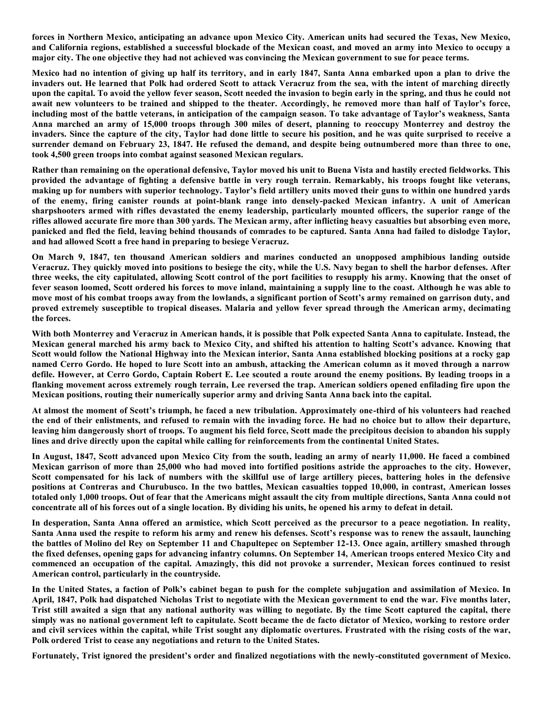**forces in Northern Mexico, anticipating an advance upon Mexico City. American units had secured the Texas, New Mexico, and California regions, established a successful blockade of the Mexican coast, and moved an army into Mexico to occupy a major city. The one objective they had not achieved was convincing the Mexican government to sue for peace terms.**

**Mexico had no intention of giving up half its territory, and in early 1847, Santa Anna embarked upon a plan to drive the invaders out. He learned that Polk had ordered Scott to attack Veracruz from the sea, with the intent of marching directly upon the capital. To avoid the yellow fever season, Scott needed the invasion to begin early in the spring, and thus he could not await new volunteers to be trained and shipped to the theater. Accordingly, he removed more than half of Taylor's force, including most of the battle veterans, in anticipation of the campaign season. To take advantage of Taylor's weakness, Santa Anna marched an army of 15,000 troops through 300 miles of desert, planning to reoccupy Monterrey and destroy the invaders. Since the capture of the city, Taylor had done little to secure his position, and he was quite surprised to receive a surrender demand on February 23, 1847. He refused the demand, and despite being outnumbered more than three to one, took 4,500 green troops into combat against seasoned Mexican regulars.**

**Rather than remaining on the operational defensive, Taylor moved his unit to Buena Vista and hastily erected fieldworks. This provided the advantage of fighting a defensive battle in very rough terrain. Remarkably, his troops fought like veterans, making up for numbers with superior technology. Taylor's field artillery units moved their guns to within one hundred yards of the enemy, firing canister rounds at point-blank range into densely-packed Mexican infantry. A unit of American sharpshooters armed with rifles devastated the enemy leadership, particularly mounted officers, the superior range of the rifles allowed accurate fire more than 300 yards. The Mexican army, after inflicting heavy casualties but absorbing even more, panicked and fled the field, leaving behind thousands of comrades to be captured. Santa Anna had failed to dislodge Taylor, and had allowed Scott a free hand in preparing to besiege Veracruz.**

**On March 9, 1847, ten thousand American soldiers and marines conducted an unopposed amphibious landing outside Veracruz. They quickly moved into positions to besiege the city, while the U.S. Navy began to shell the harbor defenses. After three weeks, the city capitulated, allowing Scott control of the port facilities to resupply his army. Knowing that the onset of fever season loomed, Scott ordered his forces to move inland, maintaining a supply line to the coast. Although he was able to move most of his combat troops away from the lowlands, a significant portion of Scott's army remained on garrison duty, and proved extremely susceptible to tropical diseases. Malaria and yellow fever spread through the American army, decimating the forces.** 

**With both Monterrey and Veracruz in American hands, it is possible that Polk expected Santa Anna to capitulate. Instead, the Mexican general marched his army back to Mexico City, and shifted his attention to halting Scott's advance. Knowing that Scott would follow the National Highway into the Mexican interior, Santa Anna established blocking positions at a rocky gap named Cerro Gordo. He hoped to lure Scott into an ambush, attacking the American column as it moved through a narrow defile. However, at Cerro Gordo, Captain Robert E. Lee scouted a route around the enemy positions. By leading troops in a flanking movement across extremely rough terrain, Lee reversed the trap. American soldiers opened enfilading fire upon the Mexican positions, routing their numerically superior army and driving Santa Anna back into the capital.** 

**At almost the moment of Scott's triumph, he faced a new tribulation. Approximately one-third of his volunteers had reached the end of their enlistments, and refused to remain with the invading force. He had no choice but to allow their departure, leaving him dangerously short of troops. To augment his field force, Scott made the precipitous decision to abandon his supply lines and drive directly upon the capital while calling for reinforcements from the continental United States.** 

**In August, 1847, Scott advanced upon Mexico City from the south, leading an army of nearly 11,000. He faced a combined Mexican garrison of more than 25,000 who had moved into fortified positions astride the approaches to the city. However, Scott compensated for his lack of numbers with the skillful use of large artillery pieces, battering holes in the defensive positions at Contreras and Churubusco. In the two battles, Mexican casualties topped 10,000, in contrast, American losses totaled only 1,000 troops. Out of fear that the Americans might assault the city from multiple directions, Santa Anna could not concentrate all of his forces out of a single location. By dividing his units, he opened his army to defeat in detail.**

**In desperation, Santa Anna offered an armistice, which Scott perceived as the precursor to a peace negotiation. In reality, Santa Anna used the respite to reform his army and renew his defenses. Scott's response was to renew the assault, launching the battles of Molino del Rey on September 11 and Chapultepec on September 12-13. Once again, artillery smashed through the fixed defenses, opening gaps for advancing infantry columns. On September 14, American troops entered Mexico City and commenced an occupation of the capital. Amazingly, this did not provoke a surrender, Mexican forces continued to resist American control, particularly in the countryside.** 

**In the United States, a faction of Polk's cabinet began to push for the complete subjugation and assimilation of Mexico. In April, 1847, Polk had dispatched Nicholas Trist to negotiate with the Mexican government to end the war. Five months later, Trist still awaited a sign that any national authority was willing to negotiate. By the time Scott captured the capital, there simply was no national government left to capitulate. Scott became the de facto dictator of Mexico, working to restore order and civil services within the capital, while Trist sought any diplomatic overtures. Frustrated with the rising costs of the war, Polk ordered Trist to cease any negotiations and return to the United States.** 

**Fortunately, Trist ignored the president's order and finalized negotiations with the newly-constituted government of Mexico.**